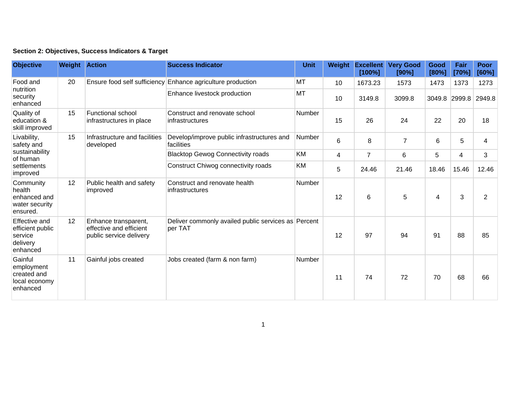|  | Section 2: Objectives, Success Indicators & Target |  |  |  |  |
|--|----------------------------------------------------|--|--|--|--|
|--|----------------------------------------------------|--|--|--|--|

| <b>Objective</b>                                                                   | <b>Weight Action</b> |                                                                            | <b>Success Indicator</b>                                       | Unit          | Weight         | <b>Excellent</b><br>[100%] | <b>Very Good</b><br>[90%] | Good<br>[80%] | Fair<br>[70%] | <b>Poor</b><br>[60%] |
|------------------------------------------------------------------------------------|----------------------|----------------------------------------------------------------------------|----------------------------------------------------------------|---------------|----------------|----------------------------|---------------------------|---------------|---------------|----------------------|
| Food and<br>nutrition<br>security<br>enhanced                                      | 20                   | Ensure food self sufficiency                                               | Enhance agriculture production                                 | MT            | 10             | 1673.23                    | 1573                      | 1473          | 1373          | 1273                 |
|                                                                                    |                      |                                                                            | Enhance livestock production                                   | MT            | 10             | 3149.8                     | 3099.8                    | 3049.8        | 2999.8        | 2949.8               |
| Quality of<br>education &<br>skill improved                                        | 15                   | <b>Functional school</b><br>infrastructures in place                       | Construct and renovate school<br>infrastructures               | <b>Number</b> | 15             | 26                         | 24                        | 22            | 20            | 18                   |
| Livability,<br>safety and<br>sustainability<br>of human<br>settlements<br>improved | 15                   | Infrastructure and facilities<br>developed                                 | Develop/improve public infrastructures and<br>facilities       | Number        | $6\phantom{1}$ | 8                          | $\overline{7}$            | 6             | 5             | 4                    |
|                                                                                    |                      |                                                                            | <b>Blacktop Gewog Connectivity roads</b>                       | KM            | 4              | $\overline{7}$             | 6                         | 5             | 4             | 3                    |
|                                                                                    |                      |                                                                            | Construct Chiwog connectivity roads                            | KM            | 5              | 24.46                      | 21.46                     | 18.46         | 15.46         | 12.46                |
| Community<br>health<br>enhanced and<br>water security<br>ensured.                  | 12                   | Public health and safety<br>improved                                       | Construct and renovate health<br>infrastructures               | Number        | 12             | 6                          | $\overline{5}$            | 4             | 3             | 2                    |
| Effective and<br>efficient public<br>service<br>delivery<br>enhanced               | 12                   | Enhance transparent,<br>effective and efficient<br>public service delivery | Deliver commonly availed public services as Percent<br>per TAT |               | 12             | 97                         | 94                        | 91            | 88            | 85                   |
| Gainful<br>employment<br>created and<br>local economy<br>enhanced                  | 11                   | Gainful jobs created                                                       | Jobs created (farm & non farm)                                 | Number        | 11             | 74                         | 72                        | 70            | 68            | 66                   |